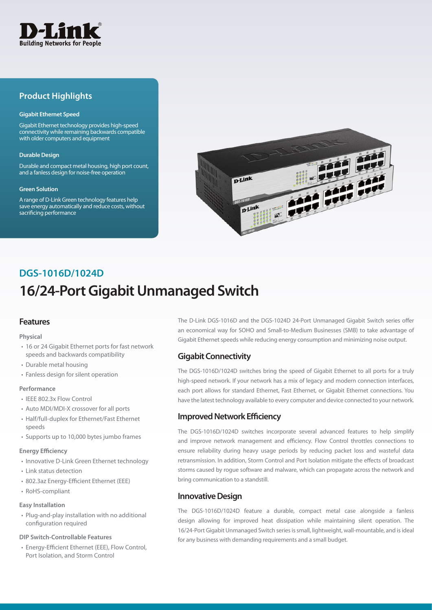

## **Product Highlights**

#### **Gigabit Ethernet Speed**

Gigabit Ethernet technology provides high-speed connectivity while remaining backwards compatible with older computers and equipment

#### **Durable Design**

Durable and compact metal housing, high port count, and a fanless design for noise-free operation

#### **Green Solution**

A range of D-Link Green technology features help save energy automatically and reduce costs, without sacrificing performance



# **16/24-Port Gigabit Unmanaged Switch DGS-1016D/1024D**

## **Features**

#### **Physical**

- 16 or 24 Gigabit Ethernet ports for fast network speeds and backwards compatibility
- Durable metal housing
- Fanless design for silent operation

#### **Performance**

- IEEE 802.3x Flow Control
- Auto MDI/MDI-X crossover for all ports
- Half/full-duplex for Ethernet/Fast Ethernet speeds
- Supports up to 10,000 bytes jumbo frames

#### **Energy Efficiency**

- Innovative D-Link Green Ethernet technology
- Link status detection
- 802.3az Energy-Efficient Ethernet (EEE)
- RoHS-compliant

#### **Easy Installation**

• Plug-and-play installation with no additional configuration required

#### **DIP Switch-Controllable Features**

• Energy-Efficient Ethernet (EEE), Flow Control, Port Isolation, and Storm Control

The D-Link DGS-1016D and the DGS-1024D 24-Port Unmanaged Gigabit Switch series offer an economical way for SOHO and Small-to-Medium Businesses (SMB) to take advantage of Gigabit Ethernet speeds while reducing energy consumption and minimizing noise output.

## **Gigabit Connectivity**

The DGS-1016D/1024D switches bring the speed of Gigabit Ethernet to all ports for a truly high-speed network. If your network has a mix of legacy and modern connection interfaces, each port allows for standard Ethernet, Fast Ethernet, or Gigabit Ethernet connections. You have the latest technology available to every computer and device connected to your network.

## **Improved Network Efficiency**

The DGS-1016D/1024D switches incorporate several advanced features to help simplify and improve network management and efficiency. Flow Control throttles connections to ensure reliability during heavy usage periods by reducing packet loss and wasteful data retransmission. In addition, Storm Control and Port Isolation mitigate the effects of broadcast storms caused by rogue software and malware, which can propagate across the network and bring communication to a standstill.

## **Innovative Design**

The DGS-1016D/1024D feature a durable, compact metal case alongside a fanless design allowing for improved heat dissipation while maintaining silent operation. The 16/24-Port Gigabit Unmanaged Switch series is small, lightweight, wall-mountable, and is ideal for any business with demanding requirements and a small budget.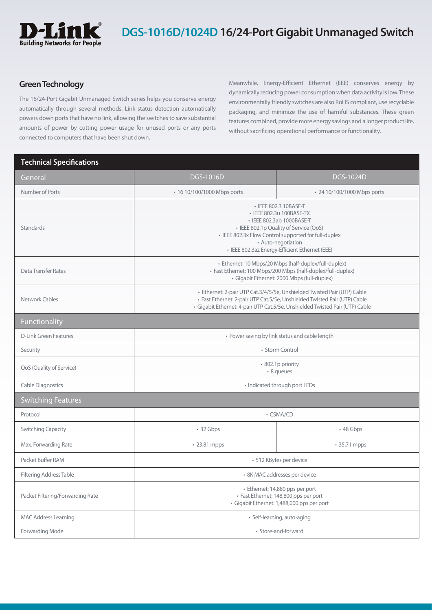

## **DGS-1016D/1024D 16/24-Port Gigabit Unmanaged Switch**

## **Green Technology**

The 16/24-Port Gigabit Unmanaged Switch series helps you conserve energy automatically through several methods. Link status detection automatically powers down ports that have no link, allowing the switches to save substantial amounts of power by cutting power usage for unused ports or any ports connected to computers that have been shut down.

Meanwhile, Energy-Efficient Ethernet (EEE) conserves energy by dynamically reducing power consumption when data activity is low. These environmentally friendly switches are also RoHS compliant, use recyclable packaging, and minimize the use of harmful substances. These green features combined, provide more energy savings and a longer product life, without sacrificing operational performance or functionality.

### **Technical Specifications**

| General                          | <b>DGS-1016D</b>                                                                                                                                                                                                                                         | <b>DGS-1024D</b>            |  |
|----------------------------------|----------------------------------------------------------------------------------------------------------------------------------------------------------------------------------------------------------------------------------------------------------|-----------------------------|--|
| Number of Ports                  | • 16 10/100/1000 Mbps ports                                                                                                                                                                                                                              | • 24 10/100/1000 Mbps ports |  |
| Standards                        | • IEEE 802.3 10BASE-T<br>· IEEE 802.3u 100BASE-TX<br>· IEEE 802.3ab 1000BASE-T<br>• IEEE 802.1p Quality of Service (QoS)<br>• IEEE 802.3x Flow Control supported for full-duplex<br>• Auto-negotiation<br>· IEEE 802.3az Energy-Efficient Ethernet (EEE) |                             |  |
| <b>Data Transfer Rates</b>       | · Ethernet: 10 Mbps/20 Mbps (half-duplex/full-duplex)<br>· Fast Ethernet: 100 Mbps/200 Mbps (half-duplex/full-duplex)<br>· Gigabit Ethernet: 2000 Mbps (full-duplex)                                                                                     |                             |  |
| Network Cables                   | · Ethernet: 2-pair UTP Cat.3/4/5/5e, Unshielded Twisted Pair (UTP) Cable<br>· Fast Ethernet: 2-pair UTP Cat.5/5e, Unshielded Twisted Pair (UTP) Cable<br>· Gigabit Ethernet: 4-pair UTP Cat.5/5e, Unshielded Twisted Pair (UTP) Cable                    |                             |  |
| Functionality                    |                                                                                                                                                                                                                                                          |                             |  |
| <b>D-Link Green Features</b>     | • Power saving by link status and cable length                                                                                                                                                                                                           |                             |  |
| Security                         | • Storm Control                                                                                                                                                                                                                                          |                             |  |
| QoS (Quality of Service)         | • 802.1p priority<br>• 8 queues                                                                                                                                                                                                                          |                             |  |
| <b>Cable Diagnostics</b>         | • Indicated through port LEDs                                                                                                                                                                                                                            |                             |  |
| <b>Switching Features</b>        |                                                                                                                                                                                                                                                          |                             |  |
| Protocol                         | • CSMA/CD                                                                                                                                                                                                                                                |                             |  |
| <b>Switching Capacity</b>        | $\cdot$ 32 Gbps                                                                                                                                                                                                                                          | $\cdot$ 48 Gbps             |  |
| Max. Forwarding Rate             | • 23.81 mpps                                                                                                                                                                                                                                             | • 35.71 mpps                |  |
| Packet Buffer RAM                | · 512 KBytes per device                                                                                                                                                                                                                                  |                             |  |
| <b>Filtering Address Table</b>   | • 8K MAC addresses per device                                                                                                                                                                                                                            |                             |  |
| Packet Filtering/Forwarding Rate | · Ethernet: 14,880 pps per port<br>· Fast Ethernet: 148,800 pps per port<br>· Gigabit Ethernet: 1,488,000 pps per port                                                                                                                                   |                             |  |
| <b>MAC Address Learning</b>      | · Self-learning, auto-aging                                                                                                                                                                                                                              |                             |  |
| Forwarding Mode                  | · Store-and-forward                                                                                                                                                                                                                                      |                             |  |